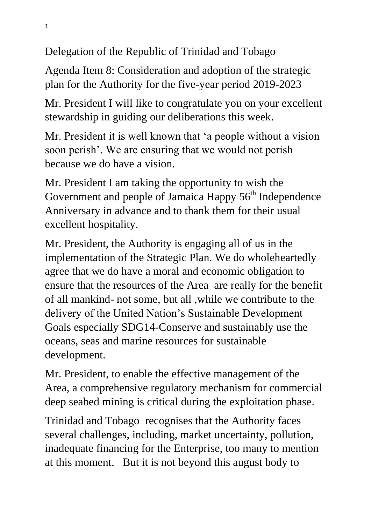Delegation of the Republic of Trinidad and Tobago

Agenda Item 8: Consideration and adoption of the strategic plan for the Authority for the five-year period 2019-2023

Mr. President I will like to congratulate you on your excellent stewardship in guiding our deliberations this week.

Mr. President it is well known that 'a people without a vision soon perish'. We are ensuring that we would not perish because we do have a vision.

Mr. President I am taking the opportunity to wish the Government and people of Jamaica Happy 56<sup>th</sup> Independence Anniversary in advance and to thank them for their usual excellent hospitality.

Mr. President, the Authority is engaging all of us in the implementation of the Strategic Plan. We do wholeheartedly agree that we do have a moral and economic obligation to ensure that the resources of the Area are really for the benefit of all mankind- not some, but all ,while we contribute to the delivery of the United Nation's Sustainable Development Goals especially SDG14-Conserve and sustainably use the oceans, seas and marine resources for sustainable development.

Mr. President, to enable the effective management of the Area, a comprehensive regulatory mechanism for commercial deep seabed mining is critical during the exploitation phase.

Trinidad and Tobago recognises that the Authority faces several challenges, including, market uncertainty, pollution, inadequate financing for the Enterprise, too many to mention at this moment. But it is not beyond this august body to